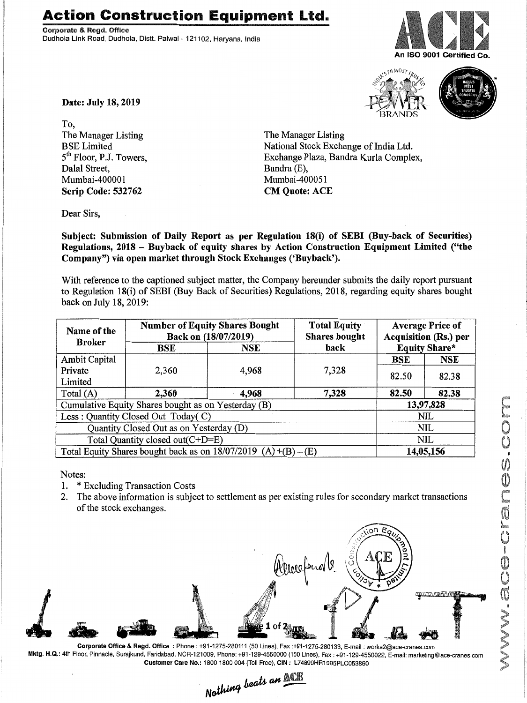## **Action Construction Equipment** Ltd.

Corporate & Rogd. Offioo Dudhola Link Road, Dudhola, Distt. Palwal - 121102, Haryana, India







Date: July 18,2019

To, The Manager Listing BSE Limited 5<sup>th</sup> Floor, P.J. Towers, Dalal Street, Mumbai-400001 Scrip Code: 532762

The Manager Listing National Stock Exchange of India Ltd. Exchange Plaza, Bandra Kurla Complex, Bandra (E), Mumbai-400051 CM Quote: ACE

Dear Sirs,

Subject: Submission of Daily Report as per Regulation 18(i) of SEBI (Buy-back of Securities) Regulations, 2018 - Buyback of equity shares by Action Construction Equipment Limited ("the Company") via open market through Stock Exchanges ('Buyback').

With reference to the captioned subject matter, the Company hereunder submits the daily report pursuant to Regulation 18(i) of SEBI (Buy Back of Securities) Regulations, 2018, regarding equity shares bought back on July 18,2019:

| Name of the<br><b>Broker</b>                                      | <b>Number of Equity Shares Bought</b><br>Back on (18/07/2019) |            | <b>Total Equity</b><br><b>Shares bought</b> | <b>Average Price of</b><br><b>Acquisition (Rs.) per</b> |            |  |
|-------------------------------------------------------------------|---------------------------------------------------------------|------------|---------------------------------------------|---------------------------------------------------------|------------|--|
|                                                                   | BSE                                                           | <b>NSE</b> | back                                        | <b>Equity Share*</b>                                    |            |  |
| Ambit Capital                                                     | 2,360                                                         | 4,968      | 7,328                                       | <b>BSE</b>                                              | <b>NSE</b> |  |
| Private                                                           |                                                               |            |                                             | 82.50                                                   | 82.38      |  |
| Limited                                                           |                                                               |            |                                             |                                                         |            |  |
| Total (A)                                                         | 2,360                                                         | 4,968      | 7,328                                       | 82.50                                                   | 82.38      |  |
| Cumulative Equity Shares bought as on Yesterday (B)               |                                                               |            |                                             |                                                         | 13,97,828  |  |
| Less: Quantity Closed Out Today(C)                                |                                                               |            |                                             | NIL                                                     |            |  |
| Quantity Closed Out as on Yesterday (D)                           |                                                               |            |                                             | NIL                                                     |            |  |
| Total Quantity closed out(C+D=E)                                  |                                                               |            |                                             |                                                         | <b>NIL</b> |  |
| Total Equity Shares bought back as on $18/07/2019$ (A) +(B) – (E) |                                                               |            |                                             | 14,05,156                                               |            |  |

Notes:

- 1. \* Excluding Transaction Costs
- 2. The above information is subject to settlement as per existing rules for secondary market transactions of the stock exchanges.



Corporate Office & Regd. Office: Phone: +91-1275-280111 (50 Lines), Fax:+91-1275-280133, E-mail: works2@ace-cranes.com Mktg. H.Q.: 4th Floor, Pinnacle, Surajkund, Faridabad, NCR-121009, Phone: +91-129-4550000 (100 Lines), Fax: +91-129-4550022, E-mail:marketing@ace-cranes.com

Customer Care No.: 1800 1800 004 (Toll Free), CIN: L74899HR1995PLC053860<br>Nathing beats an **ACT**